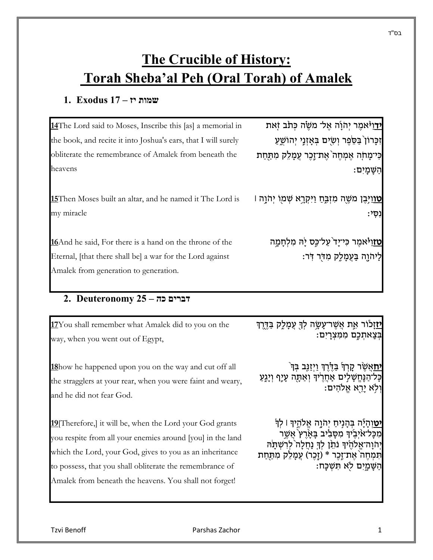# **The Crucible of History: Torah Sheba'al Peh (Oral Torah) of Amalek**

### **שמות יז – 17 Exodus 1.**

| 14The Lord said to Moses, Inscribe this [as] a memorial in                                                                                                            | <mark>יד</mark> וַ <sup>גָּ</sup> אמֶר יְהֹוָה אֱל־ מִשֶּׂה כְּתֹב זָאת                                   |
|-----------------------------------------------------------------------------------------------------------------------------------------------------------------------|-----------------------------------------------------------------------------------------------------------|
| the book, and recite it into Joshua's ears, that I will surely                                                                                                        | זְכָּרוֹן בַּסֵׂפֶר וְשָׂיִם בְּאָזְנֵי יְהוֹשֵׁעַ                                                        |
| obliterate the remembrance of Amalek from beneath the                                                                                                                 | כִּי־מָחֹֽה אֶמְחֶה`אֶת־זֶכֶר עֲמָלֵק מִתַּחַת                                                            |
| heavens                                                                                                                                                               | הַשַּׁמַיִם:                                                                                              |
| 15 Then Moses built an altar, and he named it The Lord is<br>my miracle                                                                                               | <u>ַטווַיְּבֶן</u> משֶׁה מִזְבְּחַ וַיִּקְרָא שְׁמַוֹ יְהֹוָה ו<br>ּוֹסִי:                                |
| <b>16</b> And he said, For there is a hand on the throne of the<br>Eternal, [that there shall be] a war for the Lord against<br>Amalek from generation to generation. | <mark>טזוַי</mark> ּאמֶר כִּי־יָד <sup>י</sup> עַל־כֶּס יָה מִלְחָמֶה<br>לַיהֹוֶה בָּעֲמָלֶק מְדִּר דְּר: |
|                                                                                                                                                                       |                                                                                                           |

# **דברים כה – 25 Deuteronomy 2.**

| 17You shall remember what Amalek did to you on the             | <u>יזזָ</u> לור אָת אֲשֶר־עָשָׂה לְךָ עֲמָלֶק בַּדֶּרֶךְ      |
|----------------------------------------------------------------|---------------------------------------------------------------|
| way, when you went out of Egypt,                               | בְּצֶאתְכֶם מִמְּצְרָיִם:                                     |
| 18 how he happened upon you on the way and cut off all         | <u>יח</u> אֲשֶׂר קָרְךְ בַּדֶּרֶךְ וַיְזַנְּב בְּךְ ٔ         |
| the stragglers at your rear, when you were faint and weary,    | כָּל־הַנֶּחֱשָׁלִים אָחֲרֶיׁךָּ וְאַתָּה עָיָף וְיָגֶעַ       |
| and he did not fear God.                                       | ּוִלְא יַרֵא אֱלֹהְיִם:                                       |
| <b>19</b> Therefore, it will be, when the Lord your God grants | <mark>יט</mark> וְהָיָֿה בְּהָנְיחַ יְהֹוָה אֱלֹהֶיךָ ּו לְךְ |
| you respite from all your enemies around [you] in the land     | מִכָּל־אֹיְבֵיׁךָ מִסָּבִיב בָּאָרֶץ אֲשֶר                    |
| which the Lord, your God, gives to you as an inheritance       | יְהֹוָה־אֱלֹהֶיׁדְּ נֹתֵן לְךָּ נָחֲלָה ׁלְרִשְׁתַּׂהּ        |
| to possess, that you shall obliterate the remembrance of       | תִּמְחֶה אֶת־זֶכֶר * (זֶכֶר) עֲמָלֵק מִתַּחַת                 |
| Amalek from beneath the heavens. You shall not forget!         | הַשָּׁמָיִם לְא תִּשְׁכַּח:                                   |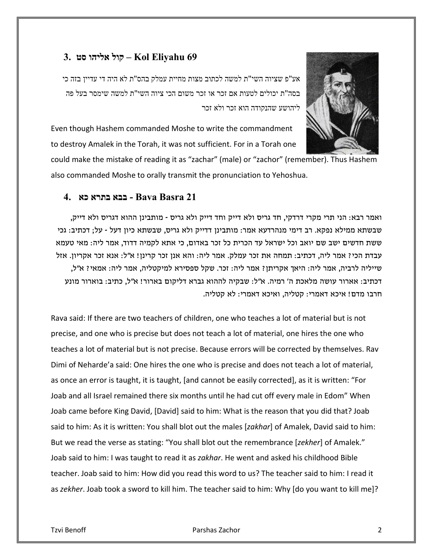#### **69 Eliyahu Kol – קול אליהו סט 3.**



אע"פ שציוה השי"ת למשה לכתוב מצות מחיית עמלק בהס"ת לא היה די עדיין בזה כי בסה"ת יכולים לטעות אם זכר או זכר משום הכי ציוה השי"ת למשה שימסר בעל פה ליהושע שהנקודה הוא זכר ולא זכר

Even though Hashem commanded Moshe to write the commandment to destroy Amalek in the Torah, it was not sufficient. For in a Torah one

could make the mistake of reading it as "zachar" (male) or "zachor" (remember). Thus Hashem also commanded Moshe to orally transmit the pronunciation to Yehoshua.

#### **21 Basra Bava - בבא בתרא כא 4.**

ואמר רבא: הני תרי מקרי דרדקי, חד גריס ולא דייק וחד דייק ולא גריס - מותבינן ההוא דגריס ולא דייק, שבשתא ממילא נפקא. רב דימי מנהרדעא אמר: מותבינן דדייק ולא גריס, שבשתא כיון דעל - על; דכתיב: גכי ששת חדשים ישב שם יואב וכל ישראל עד הכרית כל זכר באדום, כי אתא לקמיה דדוד, אמר ליה: מאי טעמא עבדת הכי? אמר ליה, דכתיב: תמחה את זכר עמלק. אמר ליה: והא אנן זכר קרינן! א"ל: אנא זכר אקריון. אזל שייליה לרביה, אמר ליה: היאך אקריתן? אמר ליה: זכר. שקל ספסירא למיקטליה, אמר ליה: אמאי? א"ל, דכתיב: אארור עושה מלאכת ה' רמיה. א"ל: שבקיה לההוא גברא דליקום בארור! א"ל, כתיב: בוארור מונע חרבו מדם! איכא דאמרי: קטליה, ואיכא דאמרי: לא קטליה.

Rava said: If there are two teachers of children, one who teaches a lot of material but is not precise, and one who is precise but does not teach a lot of material, one hires the one who teaches a lot of material but is not precise. Because errors will be corrected by themselves. Rav Dimi of Neharde'a said: One hires the one who is precise and does not teach a lot of material, as once an error is taught, it is taught, [and cannot be easily corrected], as it is written: "For Joab and all Israel remained there six months until he had cut off every male in Edom" When Joab came before King David, [David] said to him: What is the reason that you did that? Joab said to him: As it is written: You shall blot out the males [*zakhar*] of Amalek, David said to him: But we read the verse as stating: "You shall blot out the remembrance [*zekher*] of Amalek." Joab said to him: I was taught to read it as *zakhar*. He went and asked his childhood Bible teacher. Joab said to him: How did you read this word to us? The teacher said to him: I read it as *zekher*. Joab took a sword to kill him. The teacher said to him: Why [do you want to kill me]?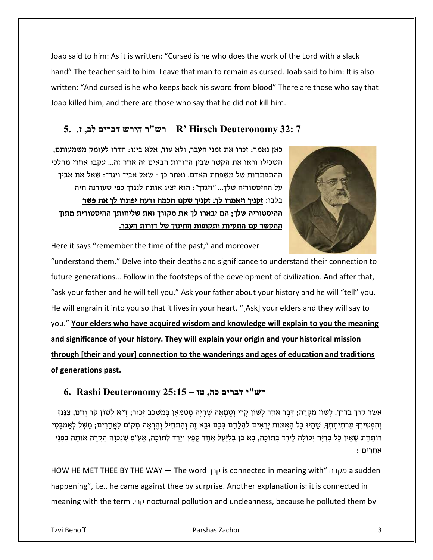Joab said to him: As it is written: "Cursed is he who does the work of the Lord with a slack hand" The teacher said to him: Leave that man to remain as cursed. Joab said to him: It is also written: "And cursed is he who keeps back his sword from blood" There are those who say that Joab killed him, and there are those who say that he did not kill him.

## **7 32: Deuteronomy Hirsch' R – רש"ר הירש דברים לב, ז. 5.**

כאן נאמר: זכרו את זמני העבר, ולא עוד, אלא בינו: חדרו לעומק משמעותם, השכילו וראו את הקשר שבין הדורות הבאים זה אחר זה... עקבו אחרי מהלכי ההתפתחות של משפחת האדם. ואחר כך - שאל אביך ויגדך: שאל את אביך על ההיסטוריה שלך... "ויגדך": הוא יציג אותה לנגדך כפי שעודנה חיה בלבו: זקניך ויאמרו לך: זקניך שקנו חכמה ודעת יפתרו לך את פשר ההיסטוריה שלך; הם יבארו לך את מקורך ואת שליחותך ההיסטורית מתוך ההקשר עם התעיות ותקופות החינוך של דורות העבר.



Here it says "remember the time of the past," and moreover

"understand them." Delve into their depths and significance to understand their connection to future generations… Follow in the footsteps of the development of civilization. And after that, "ask your father and he will tell you." Ask your father about your history and he will "tell" you. He will engrain it into you so that it lives in your heart. "[Ask] your elders and they will say to you." **Your elders who have acquired wisdom and knowledge will explain to you the meaning and significance of your history. They will explain your origin and your historical mission through [their and your] connection to the wanderings and ages of education and traditions of generations past.**

#### **רש"י דברים כה, טו – 25:15 Deuteronomy Rashi 6.**

אשר קרך בדרך. לְשׁוֹן מִקְרֶה; דָּבָר אַחֵר לְשׁוֹן קֵרִי וְטֻמְאָה שֶׁהָיָה מְטַמְּאַן בִּמִשְׁכַּב זְכוּר; דַ"אַ לְשׁוֹן קֹר וִחֹם, צִנֵּנְדִּ וְהִפְּשִׁירִךְ מֵרְתִיחָתִךְ, שֶׁהָיוּ כָל הָאָמוֹת יְרֵאִים לְהִלָּחֵם בָּכֶם וּבָא זֶה וְהִתְחִיל וְהֵרְאָה מָקוֹם לַאֲחֲרִים; מָשָׁל לְאַמְבָּטִי רוֹתַחַת שֶׁאֵין כָּל בְּרִיָּה יְכוֹלָה לֵירֵד בְּתוֹכָהּ, בָּא בֶן בְּלִיַעַל אֶחָד קָפַנִּץ וְיָרַד לְתוֹכָהּ, אַעַ״פִּ שֶׁנִּכְוָה הֵקֵרָהּ אוֹתָהּ בִּפְנֵי אֲחֵ רִ ים :

HOW HE MET THEE BY THE WAY — The word קרך is connected in meaning with" מקרה a sudden happening", i.e., he came against thee by surprise. Another explanation is: it is connected in meaning with the term ,קרי nocturnal pollution and uncleanness, because he polluted them by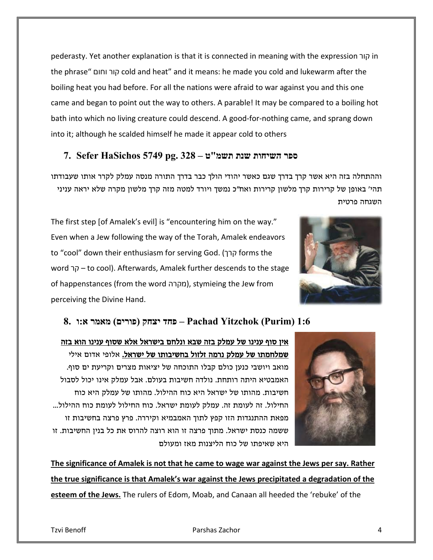pederasty. Yet another explanation is that it is connected in meaning with the expression קור in the phrase" וחום קור cold and heat" and it means: he made you cold and lukewarm after the boiling heat you had before. For all the nations were afraid to war against you and this one came and began to point out the way to others. A parable! It may be compared to a boiling hot bath into which no living creature could descend. A good-for-nothing came, and sprang down into it; although he scalded himself he made it appear cold to others

#### **ספר השיחות שנת תשמ"ט – 328 .pg 5749 HaSichos Sefer 7.**

וההתחלה בזה היא אשר קרך בדרך שגם כאשר יהודי הולך כבר בדרך התורה מנסה עמלק לקרר אותו שעבודתו תהי' באופן של קרירות קרך מלשון קרירות ואח"כ נמשך ויורד למטה מזה קרך מלשון מקרה שלא יראה עניני השגחה פרטית

The first step [of Amalek's evil] is "encountering him on the way." Even when a Jew following the way of the Torah, Amalek endeavors to "cool" down their enthusiasm for serving God. ( קרך forms the word קר – to cool). Afterwards, Amalek further descends to the stage of happenstances (from the word מקרה(, stymieing the Jew from perceiving the Divine Hand.



#### **1:6 (Purim (Yitzchok Pachad – פחד יצחק (פורים) מאמר א:ו 8.**

אין סוף ענינו של עמלק בזה שבא ונלחם בישראל אלא שסוף ענינו הוא בזה שמלחמתו של עמלק נרמה <u>זלזול בחשיבותו של ישראל.</u> אלופי אדום אילי מואב ויושבי כנען כולם קבלו התוכחה של יציאות מצרים וקריעת ים סוף. האמבטיא היתה רותחת. נולדה חשיבות בעולם. אבל עמלק אינו יכול לסבול חשיבות. מהותו של ישראל היא כוח ההילול. מהותו של עמלק היא כוח החילול. זה לעומת זה. עמלק לעומת ישראל. כוח החילול לעומת כוח ההילול... מפאת ההתנגדות הזו קפץ לתוך האמבמיא וקיררה. פרץ פרצה בחשיבות זו ששמה כנסת ישראל. מתוך פרצה זו הוא רוצה להרוס את כל בנין החשיבות. זו היא שאיפתו של כוח הליצנות מאז ומעולם



**The significance of Amalek is not that he came to wage war against the Jews per say. Rather the true significance is that Amalek's war against the Jews precipitated a degradation of the esteem of the Jews.** The rulers of Edom, Moab, and Canaan all heeded the 'rebuke' of the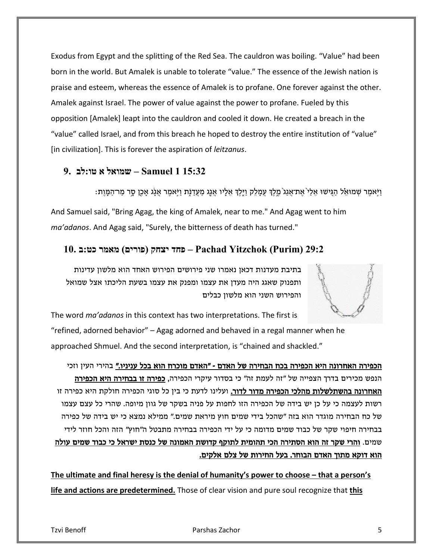Exodus from Egypt and the splitting of the Red Sea. The cauldron was boiling. "Value" had been born in the world. But Amalek is unable to tolerate "value." The essence of the Jewish nation is praise and esteem, whereas the essence of Amalek is to profane. One forever against the other. Amalek against Israel. The power of value against the power to profane. Fueled by this opposition [Amalek] leapt into the cauldron and cooled it down. He created a breach in the "value" called Israel, and from this breach he hoped to destroy the entire institution of "value" [in civilization]. This is forever the aspiration of *leitzanus*.

#### **15:32 1 Samuel – שמואל א טו:לב 9.**

וַיִּאמֶר שְׁמוּאֵל הַגֵּישׁוּ אֵלַי´אֵת־אֲגַג´מֵלֶךְ עַמָּלֶק וַיֵּלֵךְ אֵלָיו אֲגַג מַעֲדַנְת וַיִּאמֶר אֲגָׂג אָכֵן סֶר מַר־הַמָּוֶת: And Samuel said, "Bring Agag, the king of Amalek, near to me." And Agag went to him *ma'adanos*. And Agag said, "Surely, the bitterness of death has turned."

#### **29:2 (Purim (Yitzchok Pachad – פחד יצחק (פורים) מאמר כט:ב 10.**

בתיבת מעדנות דכאן נאמרו שני פירושים הפירוש האחד הוא מלשון עדינות ותפנוק שאגג היה מעדן את עצמו ומפנק את עצמו בשעת הליכתו אצל שמואל והפירוש השני הוא מלשון כבלים

The word *ma'adanos* in this context has two interpretations. The first is "refined, adorned behavior" – Agag adorned and behaved in a regal manner when he approached Shmuel. And the second interpretation, is "chained and shackled."

הכפירה האחרונה היא הכפירה בכח הבחירה של האדם - "האדם מוכרח הוא בכל עניניו." בהירי העין וזכי הנפש מכירים בדרך הצפייה של "זה לעמת זה" כי בסדור עיקרי הכפירה**, כפירה זו בבחירה היא הכפירה** האחרונה בהשתלשלות מהלכי הכפירה מדור לדור. ועלינו לדעת כי בין כל סוגי הכפירה חולקת היא כפירה זו רשות לעצמה כי על כן יש בידה של הכפירה הזו לחפות על פניה בשקר של גוון מיופה. שהרי כל עצם עצמו של כח הבחירה מוגדר הוא בזה "שהכל בידי שמים חוץ מיראת שמים." ממילא נמצא כי יש בידה של כפירה בבחירה חיפוי שקר של כבוד שמים מדומה כי על ידי הכפירה בבחירה מתבטל ה"חוץ" הזה והכל חוזר לידי שמים. והרי שקר זה הוא הסתירה הכי תהומית לתוקף קדושת האמונה של כנסת ישראל כי כבוד שמים עולה הוא דוקא מתוך האדם הבוחר. בעל החירות של צלם אלקים .

**The ultimate and final heresy is the denial of humanity's power to choose – that a person's life and actions are predetermined.** Those of clear vision and pure soul recognize that **this**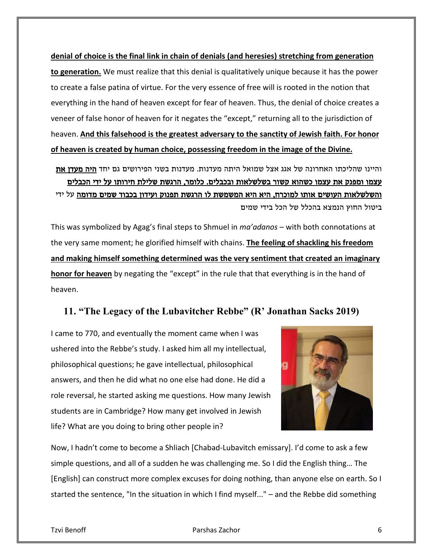**denial of choice is the final link in chain of denials (and heresies) stretching from generation to generation.** We must realize that this denial is qualitatively unique because it has the power to create a false patina of virtue. For the very essence of free will is rooted in the notion that everything in the hand of heaven except for fear of heaven. Thus, the denial of choice creates a veneer of false honor of heaven for it negates the "except," returning all to the jurisdiction of heaven. **And this falsehood is the greatest adversary to the sanctity of Jewish faith. For honor of heaven is created by human choice, possessing freedom in the image of the Divine.**

והיינו שהליכתו האחרונה של אגג אצל שמואל היתה מעדנות. מעדנות בשני הפירושים גם יחד היה מעדן את עצמו ומפנק את עצמו כשהוא קשור בשלשלאות ובכבלים. כלומר, הרגשת שלילת חירותו על ידי הכבלים והשלשלאות העושים אותו למוכרח, היא היא המשמשת לו הרגשת תפנוק ועידון בכבוד שמים מדומה על ידי ביטול החוץ הנמצא בהכלל של הכל בידי שמים

This was symbolized by Agag's final steps to Shmuel in *ma'adanos* – with both connotations at the very same moment; he glorified himself with chains. **The feeling of shackling his freedom and making himself something determined was the very sentiment that created an imaginary honor for heaven** by negating the "except" in the rule that that everything is in the hand of heaven.

#### **11. "The Legacy of the Lubavitcher Rebbe" (R' Jonathan Sacks 2019)**

I came to 770, and eventually the moment came when I was ushered into the Rebbe's study. I asked him all my intellectual, philosophical questions; he gave intellectual, philosophical answers, and then he did what no one else had done. He did a role reversal, he started asking me questions. How many Jewish students are in Cambridge? How many get involved in Jewish life? What are you doing to bring other people in?



Now, I hadn't come to become a Shliach [Chabad-Lubavitch emissary]. I'd come to ask a few simple questions, and all of a sudden he was challenging me. So I did the English thing… The [English] can construct more complex excuses for doing nothing, than anyone else on earth. So I started the sentence, "In the situation in which I find myself..." – and the Rebbe did something